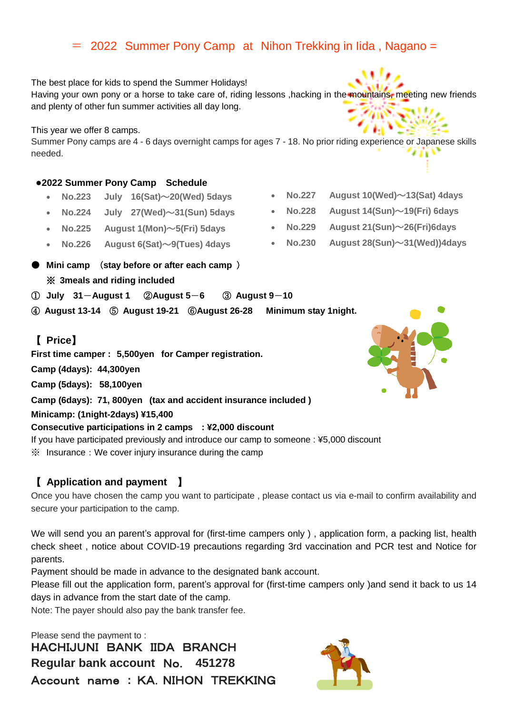## = 2022 Summer Pony Camp at Nihon Trekking in Iida , Nagano =

The best place for kids to spend the Summer Holidays! Having your own pony or a horse to take care of, riding lessons , hacking in the mountains, meeting new friends and plenty of other fun summer activities all day long.

This year we offer 8 camps.

Summer Pony camps are 4 - 6 days overnight camps for ages 7 - 18. No prior riding experience or Japanese skills needed.

#### **●2022 Summer Pony Camp Schedule**

- **No.223 July 16(Sat)**~**20(Wed) 5days**
- **No.224 July 27(Wed)**~**31(Sun) 5days**
- **No.225 August 1(Mon)**~**5(Fri) 5days**
- **No.226 August 6(Sat)**~**9(Tues) 4days**
- **Mini camp** (**stay before or after each camp** ) ※ **3meals and riding included**
- ① **July 31**-**August 1** ②**August 5**-**6** ③ **August 9**-**10**
- ④ **August 13-14** ⑤ **August 19-21** ⑥**August 26-28 Minimum stay 1night.**

### 【 **Price**】

**First time camper : 5,500yen for Camper registration.**

**Camp (4days): 44,300yen**

**Camp (5days): 58,100yen**

**Camp (6days): 71, 800yen (tax and accident insurance included )**

**Minicamp: (1night-2days) ¥15,400**

#### **Consecutive participations in 2 camps : ¥2,000 discount**

If you have participated previously and introduce our camp to someone : ¥5,000 discount

※ Insurance:We cover injury insurance during the camp

#### 【 **Application and payment** 】

Once you have chosen the camp you want to participate , please contact us via e-mail to confirm availability and secure your participation to the camp.

We will send you an parent's approval for (first-time campers only), application form, a packing list, health check sheet , notice about COVID-19 precautions regarding 3rd vaccination and PCR test and Notice for parents.

Payment should be made in advance to the designated bank account.

Please fill out the application form, parent's approval for (first-time campers only )and send it back to us 14 days in advance from the start date of the camp.

Note: The payer should also pay the bank transfer fee.

Please send the payment to : **H**ACHIJUNI BANK IIDA BRANCH **Regular bank account** No. **451278** Account name **:** KA.NIHON TREKKING



- **No.228 August 14(Sun)**~**19(Fri) 6days**
- **No.229 August 21(Sun)**~**26(Fri)6days**
- **No.230 August 28(Sun)**~**31(Wed))4days**



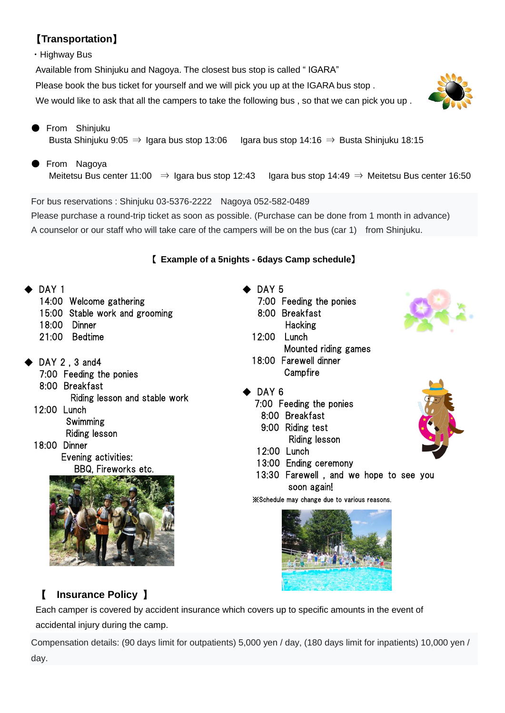# 【**Transportation**】

・Highway Bus

Available from Shinjuku and Nagoya. The closest bus stop is called " IGARA" Please book the bus ticket for yourself and we will pick you up at the IGARA bus stop . We would like to ask that all the campers to take the following bus, so that we can pick you up.

- From Shinjuku Busta Shinjuku 9:05  $\Rightarrow$  Igara bus stop 13:06 Igara bus stop 14:16  $\Rightarrow$  Busta Shinjuku 18:15
- **From Nagoya** Meitetsu Bus center 11:00  $\Rightarrow$  Igara bus stop 12:43 Igara bus stop 14:49  $\Rightarrow$  Meitetsu Bus center 16:50

For bus reservations : Shinjuku 03-5376-2222 Nagoya 052-582-0489 Please purchase a round-trip ticket as soon as possible. (Purchase can be done from 1 month in advance) A counselor or our staff who will take care of the campers will be on the bus (car 1) from Shinjuku.

#### 【 **Example of a 5nights - 6days Camp schedule**】

- DAY 1
	- 14:00 Welcome gathering
	- 15:00 Stable work and grooming
	- 18:00 Dinner
	- 21:00 Bedtime
- DAY 2, 3 and 4
	- 7:00 Feeding the ponies
	- 8:00 Breakfast Riding lesson and stable work
	- 12:00 Lunch Swimming Riding lesson
	- 18:00 Dinner
		- Evening activities:
			- BBQ, Fireworks etc.



- DAY 5 7:00 Feeding the ponies 8:00 Breakfast **Hacking** 12:00 Lunch Mounted riding games 18:00 Farewell dinner
- Campfire
- DAY 6

7:00 Feeding the ponies

- 8:00 Breakfast
- 9:00 Riding test Riding lesson
- 12:00 Lunch
- 13:00 Ending ceremony
- 13:30 Farewell , and we hope to see you soon again!

※Schedule may change due to various reasons.





Each camper is covered by accident insurance which covers up to specific amounts in the event of accidental injury during the camp.

Compensation details: (90 days limit for outpatients) 5,000 yen / day, (180 days limit for inpatients) 10,000 yen / day.